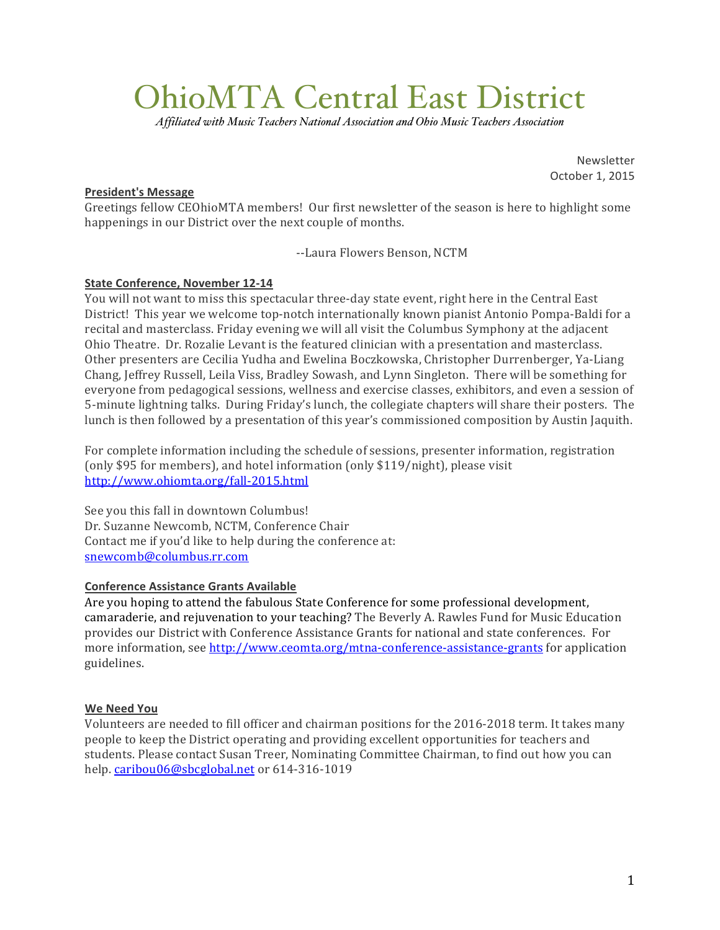# OhioMTA Central East District

*Affiliated with Music Teachers National Association and Ohio Music Teachers Association*

Newsletter October 1, 2015

## **President's Message**

Greetings fellow CEOhioMTA members! Our first newsletter of the season is here to highlight some happenings in our District over the next couple of months.

--Laura Flowers Benson, NCTM

# **State Conference, November 12-14**

You will not want to miss this spectacular three-day state event, right here in the Central East District! This year we welcome top-notch internationally known pianist Antonio Pompa-Baldi for a recital and masterclass. Friday evening we will all visit the Columbus Symphony at the adjacent Ohio Theatre. Dr. Rozalie Levant is the featured clinician with a presentation and masterclass. Other presenters are Cecilia Yudha and Ewelina Boczkowska, Christopher Durrenberger, Ya-Liang Chang, Jeffrey Russell, Leila Viss, Bradley Sowash, and Lynn Singleton. There will be something for everyone from pedagogical sessions, wellness and exercise classes, exhibitors, and even a session of 5-minute lightning talks. During Friday's lunch, the collegiate chapters will share their posters. The lunch is then followed by a presentation of this year's commissioned composition by Austin Jaquith.

For complete information including the schedule of sessions, presenter information, registration (only \$95 for members), and hotel information (only  $$119/night$ ), please visit http://www.ohiomta.org/fall-2015.html

See you this fall in downtown Columbus! Dr. Suzanne Newcomb, NCTM, Conference Chair Contact me if you'd like to help during the conference at: snewcomb@columbus.rr.com

## **Conference Assistance Grants Available**

Are you hoping to attend the fabulous State Conference for some professional development, camaraderie, and rejuvenation to your teaching? The Beverly A. Rawles Fund for Music Education provides our District with Conference Assistance Grants for national and state conferences. For more information, see http://www.ceomta.org/mtna-conference-assistance-grants for application guidelines.

## **We!Need!You**

Volunteers are needed to fill officer and chairman positions for the 2016-2018 term. It takes many people to keep the District operating and providing excellent opportunities for teachers and students. Please contact Susan Treer, Nominating Committee Chairman, to find out how you can help. caribou06@sbcglobal.net or 614-316-1019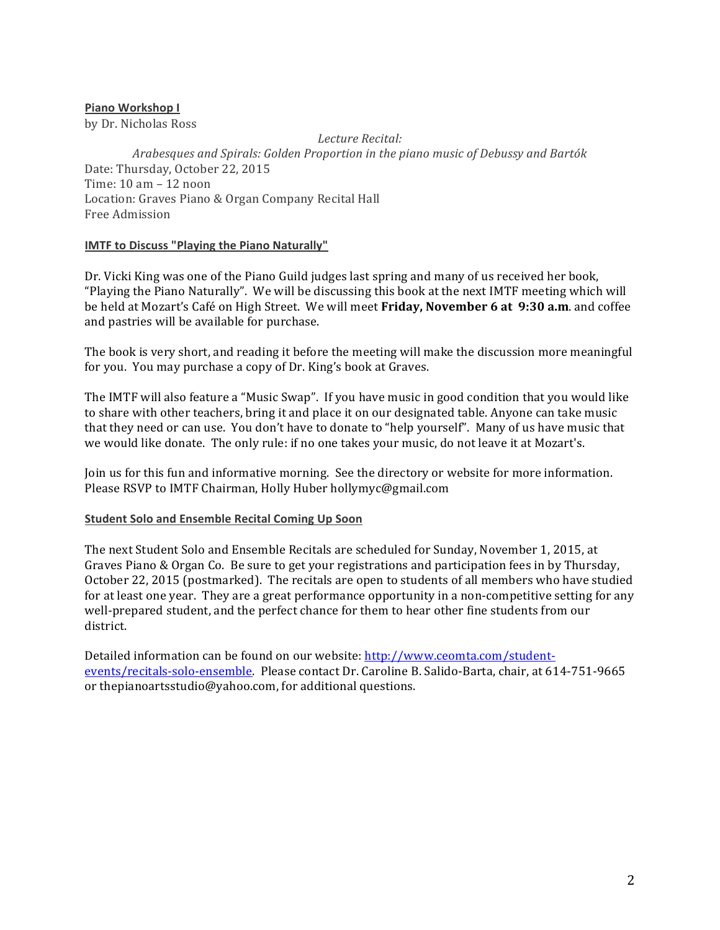## **Piano Workshop I**

by Dr. Nicholas Ross

*Lecture'Recital: Arabesques'and'Spirals:'Golden'Proportion'in'the'piano'music'of'Debussy'and'Bartók* Date: Thursday, October 22, 2015 Time:  $10 \text{ am} - 12 \text{ noon}$ Location: Graves Piano & Organ Company Recital Hall Free Admission

## **IMTF to Discuss "Playing the Piano Naturally"**

Dr. Vicki King was one of the Piano Guild judges last spring and many of us received her book, "Playing the Piano Naturally". We will be discussing this book at the next IMTF meeting which will be held at Mozart's Café on High Street. We will meet **Friday, November 6 at 9:30 a.m.** and coffee and pastries will be available for purchase.

The book is very short, and reading it before the meeting will make the discussion more meaningful for you. You may purchase a copy of Dr. King's book at Graves.

The IMTF will also feature a "Music Swap". If you have music in good condition that you would like to share with other teachers, bring it and place it on our designated table. Anyone can take music that they need or can use. You don't have to donate to "help yourself". Many of us have music that we would like donate. The only rule: if no one takes your music, do not leave it at Mozart's.

Join us for this fun and informative morning. See the directory or website for more information. Please RSVP to IMTF Chairman, Holly Huber hollymyc@gmail.com

## **Student Solo and Ensemble Recital Coming Up Soon**

The next Student Solo and Ensemble Recitals are scheduled for Sunday, November 1, 2015, at Graves Piano & Organ Co. Be sure to get your registrations and participation fees in by Thursday, October 22, 2015 (postmarked). The recitals are open to students of all members who have studied for at least one year. They are a great performance opportunity in a non-competitive setting for any well-prepared student, and the perfect chance for them to hear other fine students from our district.

Detailed information can be found on our website: http://www.ceomta.com/studentevents/recitals-solo-ensemble. Please contact Dr. Caroline B. Salido-Barta, chair, at 614-751-9665 or thepianoartsstudio@yahoo.com, for additional questions.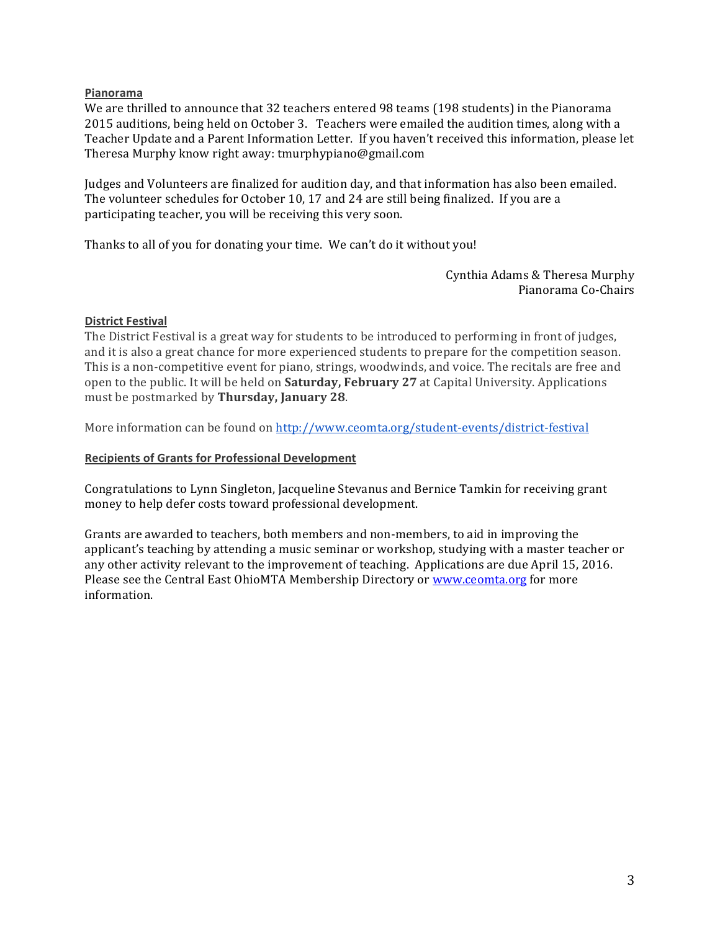## **Pianorama**

We are thrilled to announce that 32 teachers entered 98 teams (198 students) in the Pianorama 2015 auditions, being held on October 3. Teachers were emailed the audition times, along with a Teacher Update and a Parent Information Letter. If you haven't received this information, please let Theresa Murphy know right away: tmurphypiano@gmail.com

Judges and Volunteers are finalized for audition day, and that information has also been emailed. The volunteer schedules for October 10, 17 and 24 are still being finalized. If you are a participating teacher, you will be receiving this very soon.

Thanks to all of you for donating your time. We can't do it without you!

Cynthia Adams & Theresa Murphy Pianorama Co-Chairs

## **District Festival**

The District Festival is a great way for students to be introduced to performing in front of judges, and it is also a great chance for more experienced students to prepare for the competition season. This is a non-competitive event for piano, strings, woodwinds, and voice. The recitals are free and open to the public. It will be held on **Saturday, February 27** at Capital University. Applications must!be!postmarked!by!**Thursday, January!28**.

More information can be found on http://www.ceomta.org/student-events/district-festival

## **Recipients of Grants for Professional Development**

Congratulations to Lynn Singleton, Jacqueline Stevanus and Bernice Tamkin for receiving grant money to help defer costs toward professional development.

Grants are awarded to teachers, both members and non-members, to aid in improving the applicant's teaching by attending a music seminar or workshop, studying with a master teacher or any other activity relevant to the improvement of teaching. Applications are due April 15, 2016. Please see the Central East OhioMTA Membership Directory or www.ceomta.org for more information.